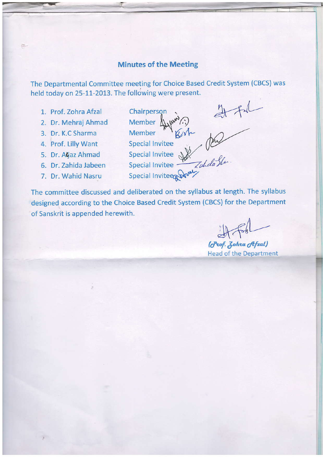## **Minutes of the Meeting**

The Departmental Committee meeting for Choice Based Credit System (CBCS) was held today on 25-11-2013. The following were present.

- 1. Prof. Zohra Afzal
- 2. Dr. Mehraj Ahmad
- 3. Dr. K.C Sharma

位

- 4. Prof. Lilly Want
- 5. Dr. Ağaz Ahmad
- 6. Dr. Zahida Jabeen
- 7. Dr. Wahid Nasru
- Member Ayundry<br>Special Invitee<br>Special Invitee<br>Special Invitee<br>Special Invitee and Julia Slue<br>Special Invitee and Julia Slue<br>Special Invitee and Julia Slue

The committee discussed and deliberated on the syllabus at length. The syllabus designed according to the Choice Based Credit System (CBCS) for the Department of Sanskrit is appended herewith.

(Prof. Zohra Afzal) **Head of the Department**